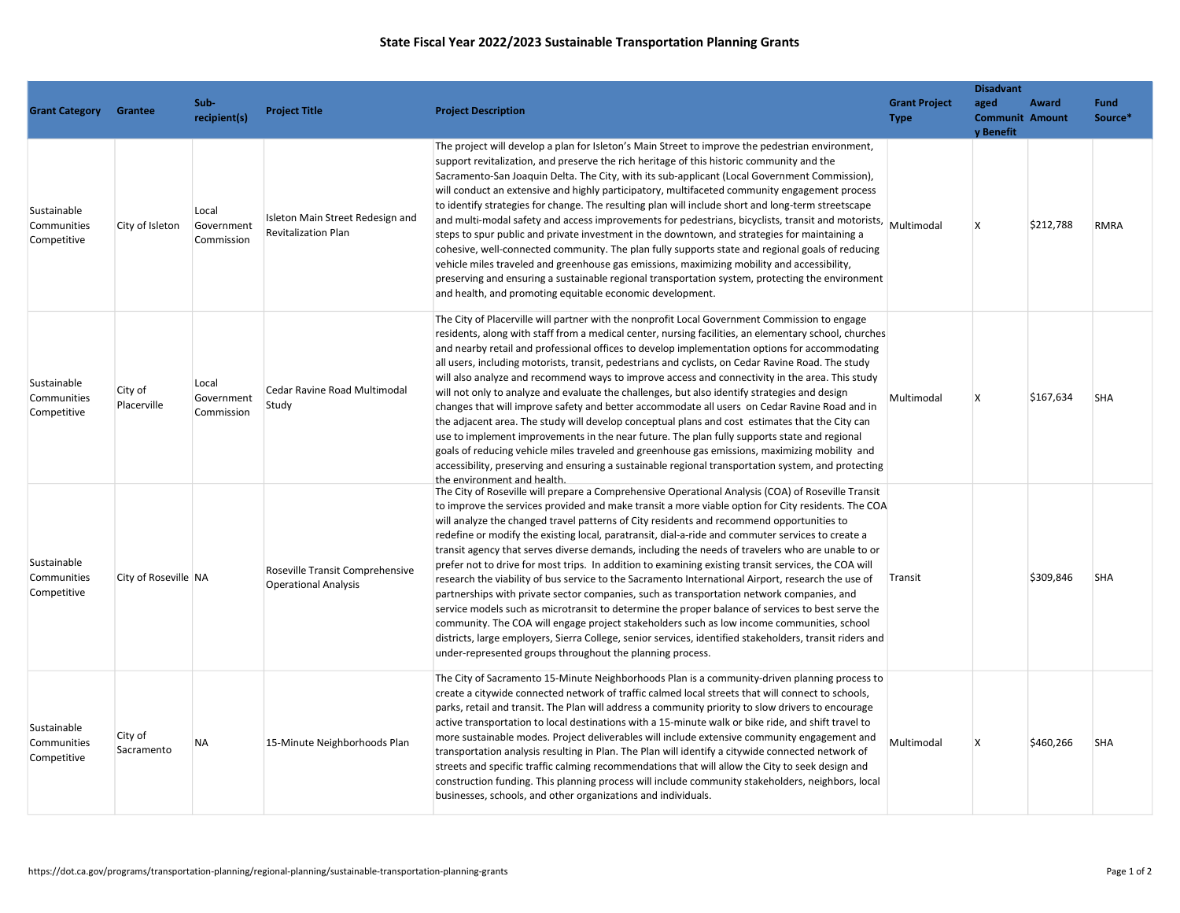## State Fiscal Year 2022/2023 Sustainable Transportation Planning Grants

|                                           |                        |                                   |                                                                |                                                                                                                                                                                                                                                                                                                                                                                                                                                                                                                                                                                                                                                                                                                                                                                                                                                                                                                                                                                                                                                                                                                                                                                                        |                                     | <b>Disadvant</b>                            |           |                        |
|-------------------------------------------|------------------------|-----------------------------------|----------------------------------------------------------------|--------------------------------------------------------------------------------------------------------------------------------------------------------------------------------------------------------------------------------------------------------------------------------------------------------------------------------------------------------------------------------------------------------------------------------------------------------------------------------------------------------------------------------------------------------------------------------------------------------------------------------------------------------------------------------------------------------------------------------------------------------------------------------------------------------------------------------------------------------------------------------------------------------------------------------------------------------------------------------------------------------------------------------------------------------------------------------------------------------------------------------------------------------------------------------------------------------|-------------------------------------|---------------------------------------------|-----------|------------------------|
| <b>Grant Category</b>                     | Grantee                | Sub-<br>recipient(s)              | <b>Project Title</b>                                           | <b>Project Description</b>                                                                                                                                                                                                                                                                                                                                                                                                                                                                                                                                                                                                                                                                                                                                                                                                                                                                                                                                                                                                                                                                                                                                                                             | <b>Grant Project</b><br><b>Type</b> | aged<br><b>Communit Amount</b><br>y Benefit | Award     | <b>Fund</b><br>Source* |
| Sustainable<br>Communities<br>Competitive | City of Isleton        | Local<br>Government<br>Commission | Isleton Main Street Redesign and<br><b>Revitalization Plan</b> | The project will develop a plan for Isleton's Main Street to improve the pedestrian environment,<br>support revitalization, and preserve the rich heritage of this historic community and the<br>Sacramento-San Joaquin Delta. The City, with its sub-applicant (Local Government Commission),<br>will conduct an extensive and highly participatory, multifaceted community engagement process<br>to identify strategies for change. The resulting plan will include short and long-term streetscape<br>and multi-modal safety and access improvements for pedestrians, bicyclists, transit and motorists, Multimodal<br>steps to spur public and private investment in the downtown, and strategies for maintaining a<br>cohesive, well-connected community. The plan fully supports state and regional goals of reducing<br>vehicle miles traveled and greenhouse gas emissions, maximizing mobility and accessibility,<br>preserving and ensuring a sustainable regional transportation system, protecting the environment<br>and health, and promoting equitable economic development.                                                                                                            |                                     | $\mathsf{X}$                                | \$212,788 | <b>RMRA</b>            |
| Sustainable<br>Communities<br>Competitive | City of<br>Placerville | Local<br>Government<br>Commission | Cedar Ravine Road Multimodal<br>Study                          | The City of Placerville will partner with the nonprofit Local Government Commission to engage<br>residents, along with staff from a medical center, nursing facilities, an elementary school, churches<br>and nearby retail and professional offices to develop implementation options for accommodating<br>all users, including motorists, transit, pedestrians and cyclists, on Cedar Ravine Road. The study<br>will also analyze and recommend ways to improve access and connectivity in the area. This study<br>will not only to analyze and evaluate the challenges, but also identify strategies and design<br>changes that will improve safety and better accommodate all users on Cedar Ravine Road and in<br>the adjacent area. The study will develop conceptual plans and cost estimates that the City can<br>use to implement improvements in the near future. The plan fully supports state and regional<br>goals of reducing vehicle miles traveled and greenhouse gas emissions, maximizing mobility and<br>accessibility, preserving and ensuring a sustainable regional transportation system, and protecting<br>the environment and health.                                         | Multimodal                          | $\mathsf{X}$                                | \$167,634 | <b>SHA</b>             |
| Sustainable<br>Communities<br>Competitive | City of Roseville NA   |                                   | Roseville Transit Comprehensive<br><b>Operational Analysis</b> | The City of Roseville will prepare a Comprehensive Operational Analysis (COA) of Roseville Transit<br>to improve the services provided and make transit a more viable option for City residents. The COA<br>will analyze the changed travel patterns of City residents and recommend opportunities to<br>redefine or modify the existing local, paratransit, dial-a-ride and commuter services to create a<br>transit agency that serves diverse demands, including the needs of travelers who are unable to or<br>prefer not to drive for most trips. In addition to examining existing transit services, the COA will<br>research the viability of bus service to the Sacramento International Airport, research the use of<br>partnerships with private sector companies, such as transportation network companies, and<br>service models such as microtransit to determine the proper balance of services to best serve the<br>community. The COA will engage project stakeholders such as low income communities, school<br>districts, large employers, Sierra College, senior services, identified stakeholders, transit riders and<br>under-represented groups throughout the planning process. | Transit                             |                                             | \$309,846 | <b>SHA</b>             |
| Sustainable<br>Communities<br>Competitive | City of<br>Sacramento  | <b>NA</b>                         | 15-Minute Neighborhoods Plan                                   | The City of Sacramento 15-Minute Neighborhoods Plan is a community-driven planning process to<br>create a citywide connected network of traffic calmed local streets that will connect to schools,<br>parks, retail and transit. The Plan will address a community priority to slow drivers to encourage<br>active transportation to local destinations with a 15-minute walk or bike ride, and shift travel to<br>more sustainable modes. Project deliverables will include extensive community engagement and<br>transportation analysis resulting in Plan. The Plan will identify a citywide connected network of<br>streets and specific traffic calming recommendations that will allow the City to seek design and<br>construction funding. This planning process will include community stakeholders, neighbors, local<br>businesses, schools, and other organizations and individuals.                                                                                                                                                                                                                                                                                                         | Multimodal                          | $\mathsf{X}$                                | \$460,266 | <b>SHA</b>             |